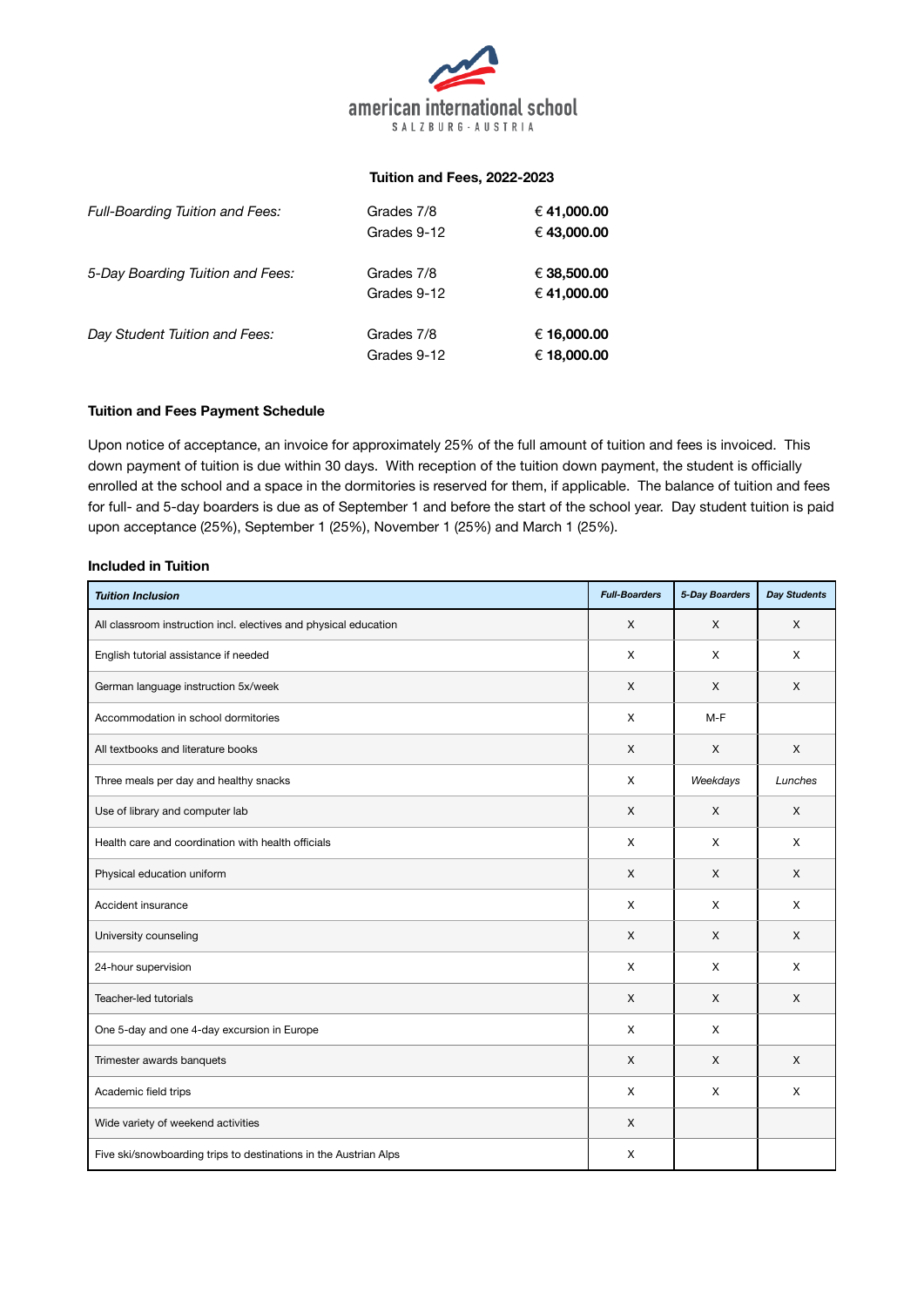

#### **Tuition and Fees, 2022-2023**

| <b>Full-Boarding Tuition and Fees:</b> | Grades 7/8<br>Grades 9-12 | € 41,000.00<br>€ 43,000.00 |
|----------------------------------------|---------------------------|----------------------------|
| 5-Day Boarding Tuition and Fees:       | Grades 7/8<br>Grades 9-12 | € 38,500.00<br>€ 41,000.00 |
| Day Student Tuition and Fees:          | Grades 7/8<br>Grades 9-12 | € 16,000.00<br>€ 18,000.00 |

## **Tuition and Fees Payment Schedule**

Upon notice of acceptance, an invoice for approximately 25% of the full amount of tuition and fees is invoiced. This down payment of tuition is due within 30 days. With reception of the tuition down payment, the student is officially enrolled at the school and a space in the dormitories is reserved for them, if applicable. The balance of tuition and fees for full- and 5-day boarders is due as of September 1 and before the start of the school year. Day student tuition is paid upon acceptance (25%), September 1 (25%), November 1 (25%) and March 1 (25%).

#### **Included in Tuition**

| <b>Tuition Inclusion</b>                                         | <b>Full-Boarders</b> | 5-Day Boarders | <b>Day Students</b> |
|------------------------------------------------------------------|----------------------|----------------|---------------------|
| All classroom instruction incl. electives and physical education | X                    | X              | X                   |
| English tutorial assistance if needed                            | X                    | X              | X                   |
| German language instruction 5x/week                              | X                    | X              | X                   |
| Accommodation in school dormitories                              | X                    | $M-F$          |                     |
| All textbooks and literature books                               | X                    | X              | X                   |
| Three meals per day and healthy snacks                           | X                    | Weekdays       | Lunches             |
| Use of library and computer lab                                  | X                    | X              | X                   |
| Health care and coordination with health officials               | X                    | X              | X                   |
| Physical education uniform                                       | X                    | X              | X                   |
| Accident insurance                                               | X                    | X              | X                   |
| University counseling                                            | X                    | X              | X                   |
| 24-hour supervision                                              | X                    | X              | X                   |
| Teacher-led tutorials                                            | X                    | X              | X                   |
| One 5-day and one 4-day excursion in Europe                      | X                    | X              |                     |
| Trimester awards banquets                                        | $\mathsf{X}$         | X              | $\times$            |
| Academic field trips                                             | X                    | X              | X                   |
| Wide variety of weekend activities                               | $\mathsf{x}$         |                |                     |
| Five ski/snowboarding trips to destinations in the Austrian Alps | X                    |                |                     |